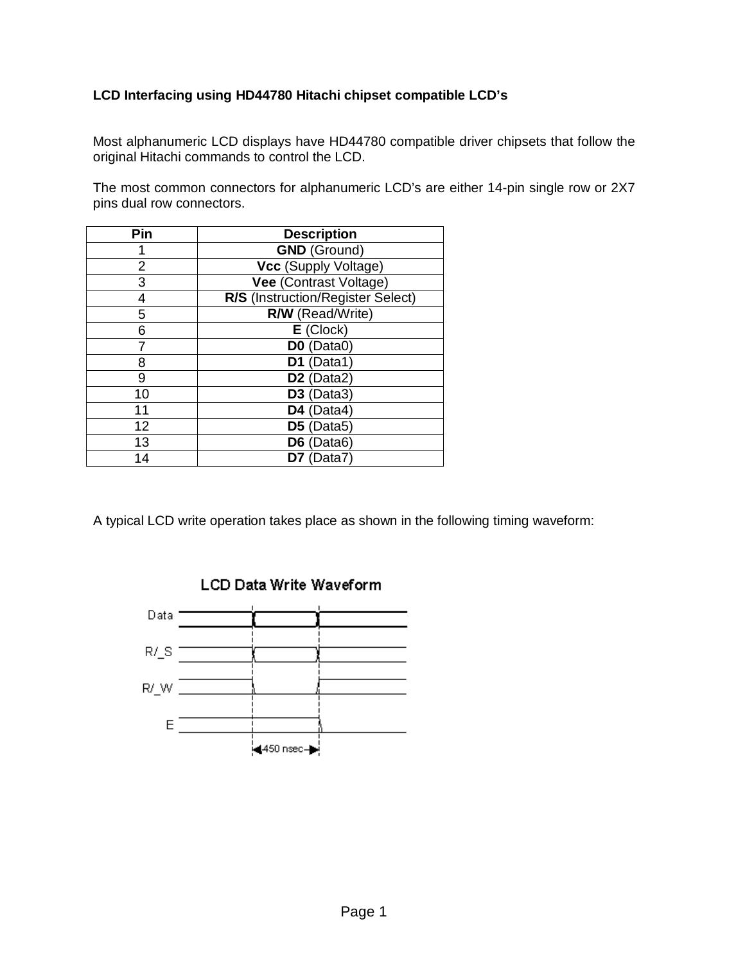## **LCD Interfacing using HD44780 Hitachi chipset compatible LCD's**

Most alphanumeric LCD displays have HD44780 compatible driver chipsets that follow the original Hitachi commands to control the LCD.

The most common connectors for alphanumeric LCD's are either 14-pin single row or 2X7 pins dual row connectors.

| Pin | <b>Description</b>                  |
|-----|-------------------------------------|
|     | <b>GND</b> (Ground)                 |
| 2   | Vcc (Supply Voltage)                |
| 3   | <b>Vee (Contrast Voltage)</b>       |
|     | R/S (Instruction/Register Select)   |
| 5   | R/W (Read/Write)                    |
| 6   | $E$ (Clock)                         |
|     | DO (Data0)                          |
| 8   | D1 (Data1)                          |
| 9   | D <sub>2</sub> (Data <sub>2</sub> ) |
| 10  | D3 (Data3)                          |
| 11  | D4 (Data4)                          |
| 12  | D5 (Data5)                          |
| 13  | D6 (Data6)                          |
| 14  | D7 (Data7)                          |

A typical LCD write operation takes place as shown in the following timing waveform:

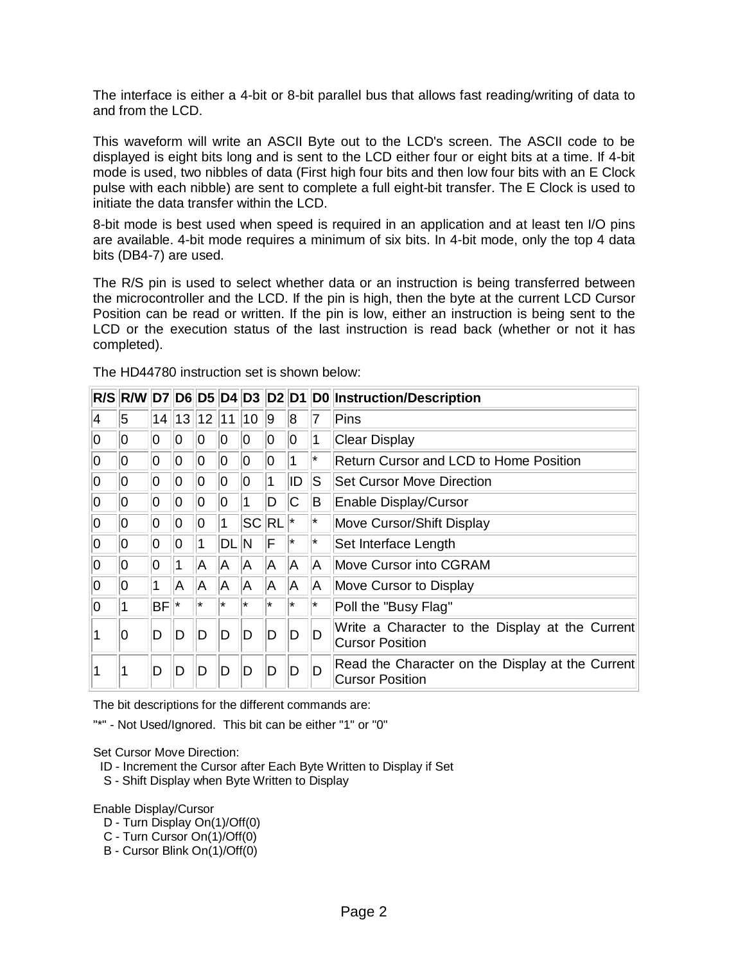The interface is either a 4-bit or 8-bit parallel bus that allows fast reading/writing of data to and from the LCD.

This waveform will write an ASCII Byte out to the LCD's screen. The ASCII code to be displayed is eight bits long and is sent to the LCD either four or eight bits at a time. If 4-bit mode is used, two nibbles of data (First high four bits and then low four bits with an E Clock pulse with each nibble) are sent to complete a full eight-bit transfer. The E Clock is used to initiate the data transfer within the LCD.

8-bit mode is best used when speed is required in an application and at least ten I/O pins are available. 4-bit mode requires a minimum of six bits. In 4-bit mode, only the top 4 data bits (DB4-7) are used.

The R/S pin is used to select whether data or an instruction is being transferred between the microcontroller and the LCD. If the pin is high, then the byte at the current LCD Cursor Position can be read or written. If the pin is low, either an instruction is being sent to the LCD or the execution status of the last instruction is read back (whether or not it has completed).

The HD44780 instruction set is shown below:

|          |    |           |    |                     |             |          |             |          |    | R/S R/W D7 D6 D5 D4 D3 D2 D1 D0 Instruction/Description                    |
|----------|----|-----------|----|---------------------|-------------|----------|-------------|----------|----|----------------------------------------------------------------------------|
| 4        | 5  |           |    | $14$   13   12   11 |             | 10       | <u>g</u>    | 8        | 7  | Pins                                                                       |
| 0        | lO | 0         | 0  | O                   | 10          | 10       | 0           | 10       |    | <b>Clear Display</b>                                                       |
| 0        | ۱O | 0         | 0  | 10                  | 10          | 10       | 10          |          | ∗  | <b>Return Cursor and LCD to Home Position</b>                              |
| $\Omega$ | lO | 0         | 0  | 10                  | 0           | $\Omega$ |             | ID       | lS | <b>Set Cursor Move Direction</b>                                           |
| 0        | lO | 0         | 0  | 10                  | 0           |          | D           | ІС       | ΙB | Enable Display/Cursor                                                      |
| 0        | O  | 0         | 0  | 0                   | 1           |          | $ SC RL $ * |          | ∗  | Move Cursor/Shift Display                                                  |
| $\Omega$ | lO | 0         | 0  | 1                   | <b>DLIN</b> |          | IF          | $^\star$ | ∣∗ | Set Interface Length                                                       |
| 0        | 0  | 0         |    | A                   | IA.         | IA.      | A           | A        | A  | Move Cursor into CGRAM                                                     |
| $\Omega$ | lO |           | A  | A                   | A.          | A        | A           | A        | A  | Move Cursor to Display                                                     |
| O        |    | <b>BF</b> | ∣∗ | $^\star$            | $\star$     | ∗        | $^\star$    | $^\star$ | ∗  | Poll the "Busy Flag"                                                       |
|          | 0  | D         | D  | D                   | D           | D        | ID          | D        | D  | Write a Character to the Display at the Current<br><b>Cursor Position</b>  |
|          |    | D         | D  | D                   | D           | D        | D           | D        | D  | Read the Character on the Display at the Current<br><b>Cursor Position</b> |

The bit descriptions for the different commands are:

"\*" - Not Used/Ignored. This bit can be either "1" or "0"

Set Cursor Move Direction:

- ID Increment the Cursor after Each Byte Written to Display if Set
- S Shift Display when Byte Written to Display

Enable Display/Cursor

- D Turn Display On(1)/Off(0)
- C Turn Cursor On(1)/Off(0)
- B Cursor Blink On(1)/Off(0)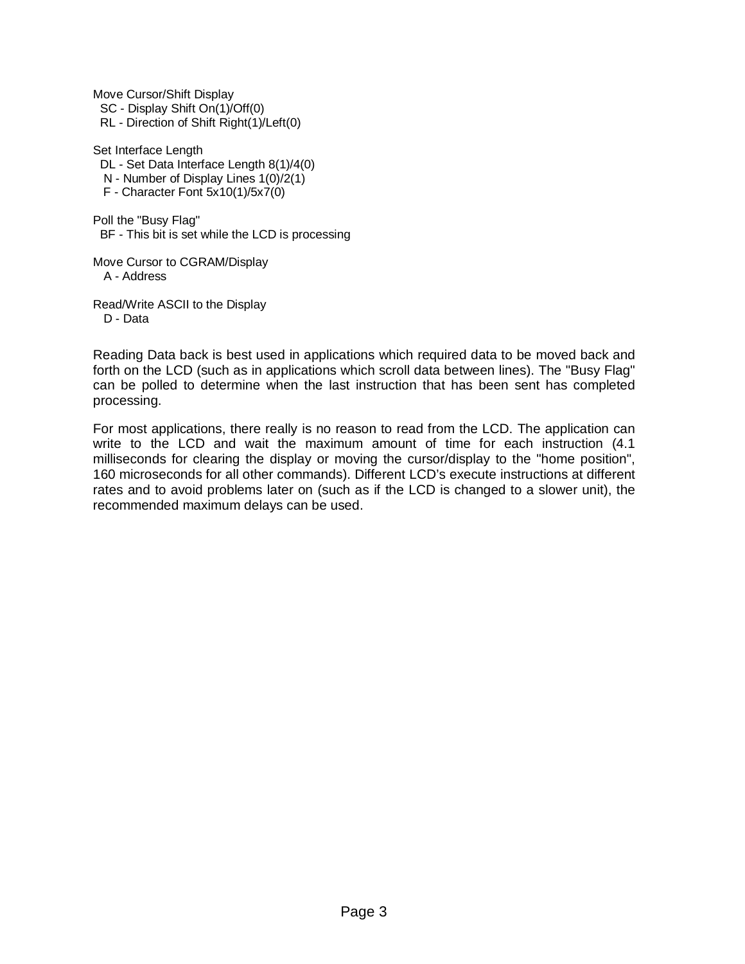Move Cursor/Shift Display

SC - Display Shift On(1)/Off(0)

RL - Direction of Shift Right(1)/Left(0)

Set Interface Length

DL - Set Data Interface Length 8(1)/4(0)

N - Number of Display Lines 1(0)/2(1)

F - Character Font 5x10(1)/5x7(0)

Poll the "Busy Flag" BF - This bit is set while the LCD is processing

Move Cursor to CGRAM/Display A - Address

Read/Write ASCII to the Display D - Data

Reading Data back is best used in applications which required data to be moved back and forth on the LCD (such as in applications which scroll data between lines). The "Busy Flag" can be polled to determine when the last instruction that has been sent has completed processing.

For most applications, there really is no reason to read from the LCD. The application can write to the LCD and wait the maximum amount of time for each instruction (4.1 milliseconds for clearing the display or moving the cursor/display to the "home position", 160 microseconds for all other commands). Different LCD's execute instructions at different rates and to avoid problems later on (such as if the LCD is changed to a slower unit), the recommended maximum delays can be used.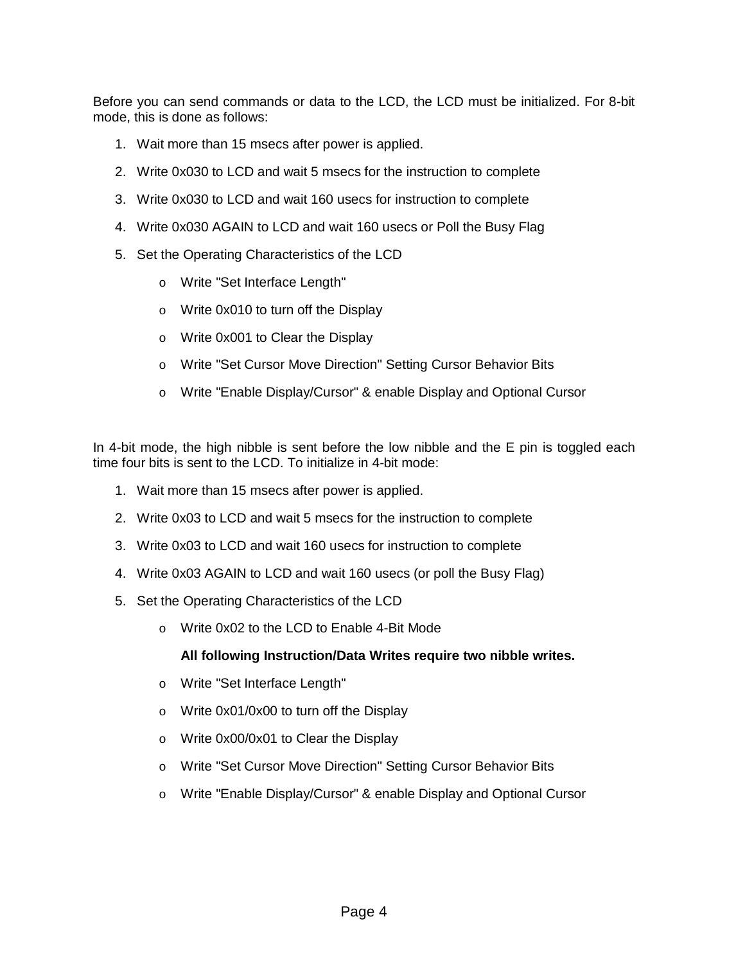Before you can send commands or data to the LCD, the LCD must be initialized. For 8-bit mode, this is done as follows:

- 1. Wait more than 15 msecs after power is applied.
- 2. Write 0x030 to LCD and wait 5 msecs for the instruction to complete
- 3. Write 0x030 to LCD and wait 160 usecs for instruction to complete
- 4. Write 0x030 AGAIN to LCD and wait 160 usecs or Poll the Busy Flag
- 5. Set the Operating Characteristics of the LCD
	- o Write "Set Interface Length"
	- o Write 0x010 to turn off the Display
	- o Write 0x001 to Clear the Display
	- o Write "Set Cursor Move Direction" Setting Cursor Behavior Bits
	- o Write "Enable Display/Cursor" & enable Display and Optional Cursor

In 4-bit mode, the high nibble is sent before the low nibble and the E pin is toggled each time four bits is sent to the LCD. To initialize in 4-bit mode:

- 1. Wait more than 15 msecs after power is applied.
- 2. Write 0x03 to LCD and wait 5 msecs for the instruction to complete
- 3. Write 0x03 to LCD and wait 160 usecs for instruction to complete
- 4. Write 0x03 AGAIN to LCD and wait 160 usecs (or poll the Busy Flag)
- 5. Set the Operating Characteristics of the LCD
	- o Write 0x02 to the LCD to Enable 4-Bit Mode

## **All following Instruction/Data Writes require two nibble writes.**

- o Write "Set Interface Length"
- o Write 0x01/0x00 to turn off the Display
- o Write 0x00/0x01 to Clear the Display
- o Write "Set Cursor Move Direction" Setting Cursor Behavior Bits
- o Write "Enable Display/Cursor" & enable Display and Optional Cursor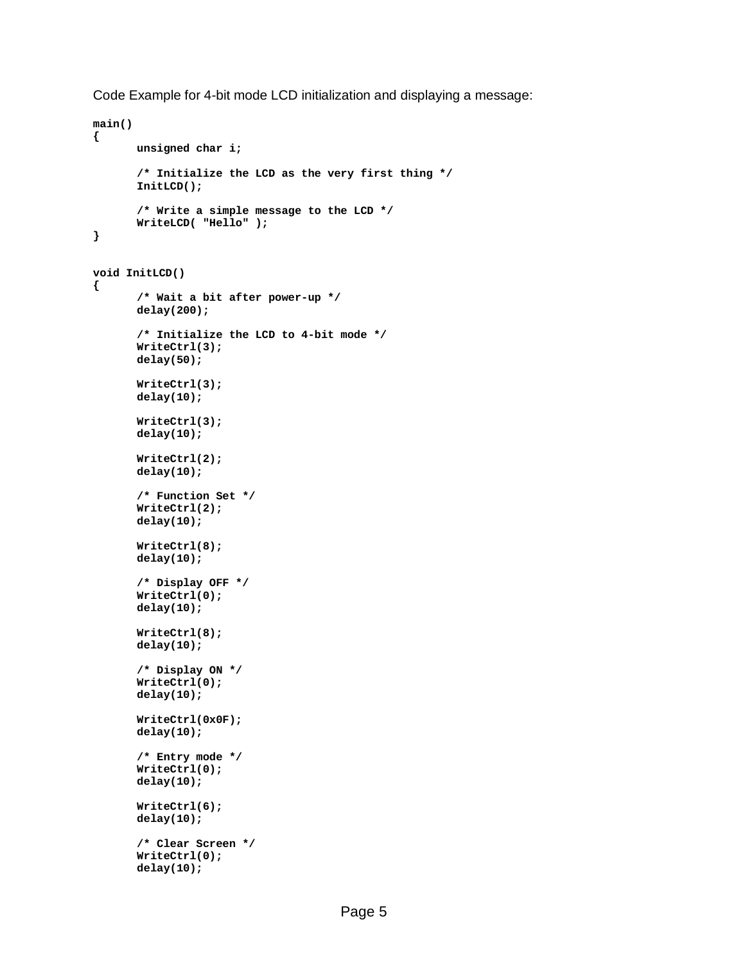Code Example for 4-bit mode LCD initialization and displaying a message:

```
main() 
{ 
       unsigned char i; 
       /* Initialize the LCD as the very first thing */ 
       InitLCD(); 
       /* Write a simple message to the LCD */ 
       WriteLCD( "Hello" ); 
} 
void InitLCD() 
{ 
       /* Wait a bit after power-up */ 
       delay(200); 
       /* Initialize the LCD to 4-bit mode */ 
       WriteCtrl(3); 
       delay(50); 
       WriteCtrl(3); 
       delay(10); 
       WriteCtrl(3); 
       delay(10); 
       WriteCtrl(2); 
       delay(10); 
       /* Function Set */ 
       WriteCtrl(2); 
       delay(10); 
       WriteCtrl(8); 
       delay(10); 
       /* Display OFF */ 
       WriteCtrl(0); 
       delay(10); 
       WriteCtrl(8); 
       delay(10); 
       /* Display ON */ 
       WriteCtrl(0); 
       delay(10); 
       WriteCtrl(0x0F); 
       delay(10); 
       /* Entry mode */ 
       WriteCtrl(0); 
       delay(10); 
       WriteCtrl(6); 
       delay(10); 
       /* Clear Screen */ 
       WriteCtrl(0); 
       delay(10);
```